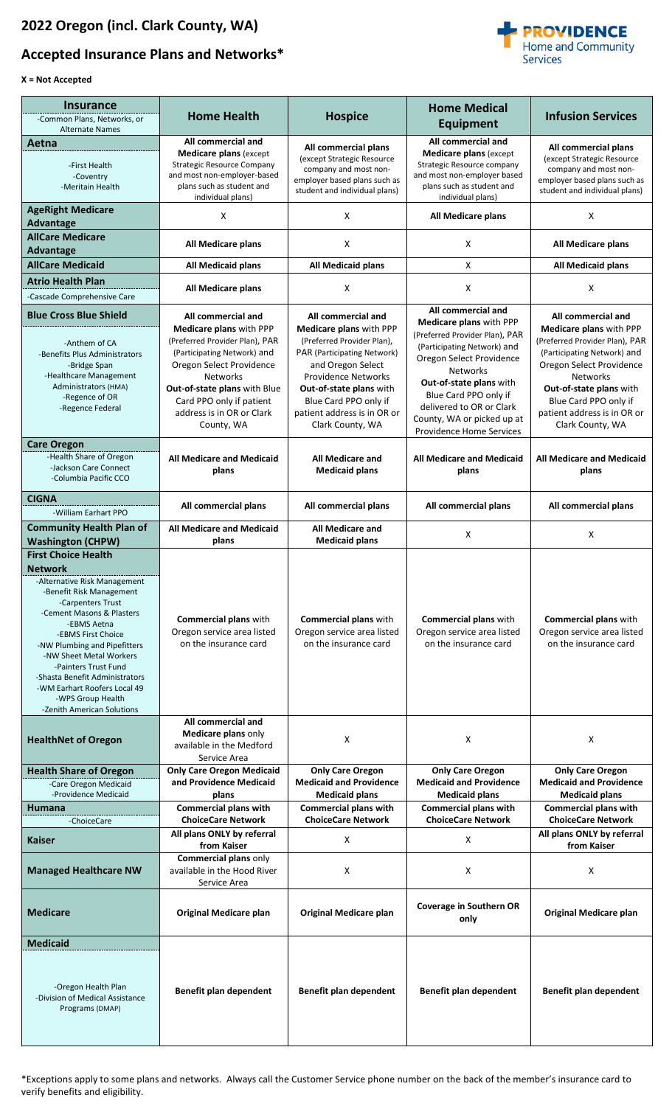## **Accepted Insurance Plans and Networks\***



## **X = Not Accepted**

| <b>Insurance</b><br>-Common Plans, Networks, or<br><b>Alternate Names</b>                                                                                                                                                                                                                                                                                                                               | <b>Home Health</b>                                                                                                                                                                                                                                                   | <b>Hospice</b>                                                                                                                                                                                                                                                       | <b>Home Medical</b><br><b>Equipment</b>                                                                                                                                                                                                                                                                        | <b>Infusion Services</b>                                                                                                                                                                                                                                             |
|---------------------------------------------------------------------------------------------------------------------------------------------------------------------------------------------------------------------------------------------------------------------------------------------------------------------------------------------------------------------------------------------------------|----------------------------------------------------------------------------------------------------------------------------------------------------------------------------------------------------------------------------------------------------------------------|----------------------------------------------------------------------------------------------------------------------------------------------------------------------------------------------------------------------------------------------------------------------|----------------------------------------------------------------------------------------------------------------------------------------------------------------------------------------------------------------------------------------------------------------------------------------------------------------|----------------------------------------------------------------------------------------------------------------------------------------------------------------------------------------------------------------------------------------------------------------------|
| Aetna<br>-First Health<br>-Coventry<br>-Meritain Health                                                                                                                                                                                                                                                                                                                                                 | All commercial and<br><b>Medicare plans (except</b><br>Strategic Resource Company<br>and most non-employer-based<br>plans such as student and<br>individual plans)                                                                                                   | All commercial plans<br>(except Strategic Resource<br>company and most non-<br>employer based plans such as<br>student and individual plans)                                                                                                                         | All commercial and<br><b>Medicare plans (except)</b><br>Strategic Resource company<br>and most non-employer based<br>plans such as student and<br>individual plans)                                                                                                                                            | All commercial plans<br>(except Strategic Resource<br>company and most non-<br>employer based plans such as<br>student and individual plans)                                                                                                                         |
| <b>AgeRight Medicare</b><br>Advantage                                                                                                                                                                                                                                                                                                                                                                   | X                                                                                                                                                                                                                                                                    | X                                                                                                                                                                                                                                                                    | All Medicare plans                                                                                                                                                                                                                                                                                             | X                                                                                                                                                                                                                                                                    |
| <b>AllCare Medicare</b><br><b>Advantage</b>                                                                                                                                                                                                                                                                                                                                                             | All Medicare plans                                                                                                                                                                                                                                                   | x                                                                                                                                                                                                                                                                    | X                                                                                                                                                                                                                                                                                                              | All Medicare plans                                                                                                                                                                                                                                                   |
| <b>AllCare Medicaid</b>                                                                                                                                                                                                                                                                                                                                                                                 | All Medicaid plans                                                                                                                                                                                                                                                   | <b>All Medicaid plans</b>                                                                                                                                                                                                                                            | X                                                                                                                                                                                                                                                                                                              | All Medicaid plans                                                                                                                                                                                                                                                   |
| <b>Atrio Health Plan</b><br>-Cascade Comprehensive Care                                                                                                                                                                                                                                                                                                                                                 | All Medicare plans                                                                                                                                                                                                                                                   | X                                                                                                                                                                                                                                                                    | X                                                                                                                                                                                                                                                                                                              | X                                                                                                                                                                                                                                                                    |
| <b>Blue Cross Blue Shield</b><br>-Anthem of CA<br>-Benefits Plus Administrators<br>-Bridge Span<br>-Healthcare Management<br>Administrators (HMA)<br>-Regence of OR<br>-Regence Federal                                                                                                                                                                                                                 | All commercial and<br>Medicare plans with PPP<br>(Preferred Provider Plan), PAR<br>(Participating Network) and<br>Oregon Select Providence<br><b>Networks</b><br>Out-of-state plans with Blue<br>Card PPO only if patient<br>address is in OR or Clark<br>County, WA | All commercial and<br>Medicare plans with PPP<br>(Preferred Provider Plan),<br>PAR (Participating Network)<br>and Oregon Select<br><b>Providence Networks</b><br>Out-of-state plans with<br>Blue Card PPO only if<br>patient address is in OR or<br>Clark County, WA | All commercial and<br>Medicare plans with PPP<br>(Preferred Provider Plan), PAR<br>(Participating Network) and<br>Oregon Select Providence<br><b>Networks</b><br>Out-of-state plans with<br>Blue Card PPO only if<br>delivered to OR or Clark<br>County, WA or picked up at<br><b>Providence Home Services</b> | All commercial and<br>Medicare plans with PPP<br>(Preferred Provider Plan), PAR<br>(Participating Network) and<br>Oregon Select Providence<br><b>Networks</b><br>Out-of-state plans with<br>Blue Card PPO only if<br>patient address is in OR or<br>Clark County, WA |
| <b>Care Oregon</b><br>-Health Share of Oregon<br>-Jackson Care Connect<br>-Columbia Pacific CCO                                                                                                                                                                                                                                                                                                         | <b>All Medicare and Medicaid</b><br>plans                                                                                                                                                                                                                            | <b>All Medicare and</b><br><b>Medicaid plans</b>                                                                                                                                                                                                                     | <b>All Medicare and Medicaid</b><br>plans                                                                                                                                                                                                                                                                      | <b>All Medicare and Medicaid</b><br>plans                                                                                                                                                                                                                            |
| <b>CIGNA</b><br>-William Earhart PPO                                                                                                                                                                                                                                                                                                                                                                    | All commercial plans                                                                                                                                                                                                                                                 | All commercial plans                                                                                                                                                                                                                                                 | All commercial plans                                                                                                                                                                                                                                                                                           | All commercial plans                                                                                                                                                                                                                                                 |
| <b>Community Health Plan of</b><br><b>Washington (CHPW)</b>                                                                                                                                                                                                                                                                                                                                             | <b>All Medicare and Medicaid</b><br>plans                                                                                                                                                                                                                            | <b>All Medicare and</b><br><b>Medicaid plans</b>                                                                                                                                                                                                                     | X                                                                                                                                                                                                                                                                                                              | X                                                                                                                                                                                                                                                                    |
| <b>First Choice Health</b><br><b>Network</b><br>-Alternative Risk Management<br>-Benefit Risk Management<br>-Carpenters Trust<br>-Cement Masons & Plasters<br>-EBMS Aetna<br>-EBMS First Choice<br>-NW Plumbing and Pipefitters<br>-NW Sheet Metal Workers<br>-Painters Trust Fund<br>-Shasta Benefit Administrators<br>-WM Earhart Roofers Local 49<br>-WPS Group Health<br>-Zenith American Solutions | <b>Commercial plans with</b><br>Oregon service area listed<br>on the insurance card                                                                                                                                                                                  | Commercial plans with<br>Oregon service area listed<br>on the insurance card                                                                                                                                                                                         | <b>Commercial plans with</b><br>Oregon service area listed<br>on the insurance card                                                                                                                                                                                                                            | <b>Commercial plans with</b><br>Oregon service area listed<br>on the insurance card                                                                                                                                                                                  |
| <b>HealthNet of Oregon</b>                                                                                                                                                                                                                                                                                                                                                                              | All commercial and<br>Medicare plans only<br>available in the Medford<br>Service Area                                                                                                                                                                                | X                                                                                                                                                                                                                                                                    | X                                                                                                                                                                                                                                                                                                              | X                                                                                                                                                                                                                                                                    |
| <b>Health Share of Oregon</b><br>-Care Oregon Medicaid<br>-Providence Medicaid<br><b>Humana</b>                                                                                                                                                                                                                                                                                                         | <b>Only Care Oregon Medicaid</b><br>and Providence Medicaid<br>plans<br><b>Commercial plans with</b>                                                                                                                                                                 | <b>Only Care Oregon</b><br><b>Medicaid and Providence</b><br><b>Medicaid plans</b><br><b>Commercial plans with</b>                                                                                                                                                   | <b>Only Care Oregon</b><br><b>Medicaid and Providence</b><br><b>Medicaid plans</b><br><b>Commercial plans with</b>                                                                                                                                                                                             | <b>Only Care Oregon</b><br><b>Medicaid and Providence</b><br><b>Medicaid plans</b><br><b>Commercial plans with</b>                                                                                                                                                   |
| -ChoiceCare                                                                                                                                                                                                                                                                                                                                                                                             | <b>ChoiceCare Network</b>                                                                                                                                                                                                                                            | <b>ChoiceCare Network</b>                                                                                                                                                                                                                                            | <b>ChoiceCare Network</b>                                                                                                                                                                                                                                                                                      | <b>ChoiceCare Network</b>                                                                                                                                                                                                                                            |
| <b>Kaiser</b>                                                                                                                                                                                                                                                                                                                                                                                           | All plans ONLY by referral<br>from Kaiser                                                                                                                                                                                                                            | X                                                                                                                                                                                                                                                                    | X                                                                                                                                                                                                                                                                                                              | All plans ONLY by referral<br>from Kaiser                                                                                                                                                                                                                            |
| <b>Managed Healthcare NW</b>                                                                                                                                                                                                                                                                                                                                                                            | Commercial plans only<br>available in the Hood River<br>Service Area                                                                                                                                                                                                 | X                                                                                                                                                                                                                                                                    | X                                                                                                                                                                                                                                                                                                              | X                                                                                                                                                                                                                                                                    |
| <b>Medicare</b>                                                                                                                                                                                                                                                                                                                                                                                         | <b>Original Medicare plan</b>                                                                                                                                                                                                                                        | <b>Original Medicare plan</b>                                                                                                                                                                                                                                        | <b>Coverage in Southern OR</b><br>only                                                                                                                                                                                                                                                                         | <b>Original Medicare plan</b>                                                                                                                                                                                                                                        |
| <b>Medicaid</b><br>-Oregon Health Plan<br>-Division of Medical Assistance<br>Programs (DMAP)                                                                                                                                                                                                                                                                                                            | Benefit plan dependent                                                                                                                                                                                                                                               | Benefit plan dependent                                                                                                                                                                                                                                               | Benefit plan dependent                                                                                                                                                                                                                                                                                         | Benefit plan dependent                                                                                                                                                                                                                                               |

\*Exceptions apply to some plans and networks. Always call the Customer Service phone number on the back of the member's insurance card to verify benefits and eligibility.